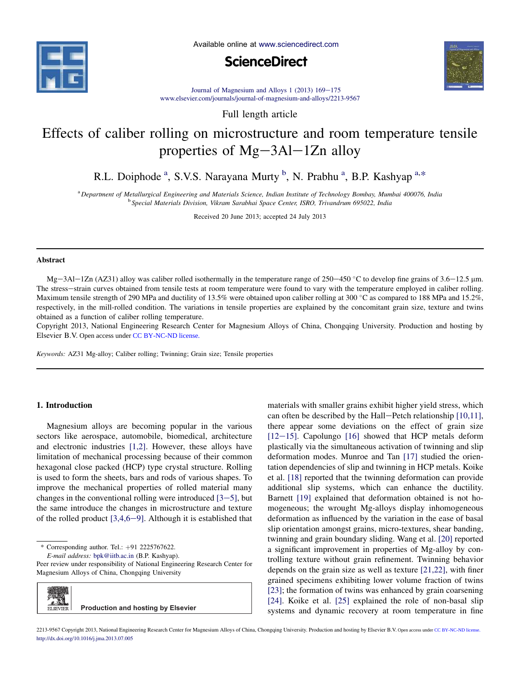

Available online at www.sciencedirect.com





Journal of Magnesium and Alloys 1 (2013)  $169-175$ www.elsevier.com/journals/journal-of-magnesium-and-alloys/2213-9567

Full length article

# Effects of caliber rolling on microstructure and room temperature tensile properties of  $Mg-3Al-1Zn$  alloy

R.L. Doiphode <sup>a</sup>, S.V.S. Narayana Murty <sup>b</sup>, N. Prabhu <sup>a</sup>, B.P. Kashyap <sup>a,\*</sup>

<sup>a</sup> *Department of Metallurgical Engineering and Materials Science, Indian Institute of Technology Bombay, Mumbai 400076, India* b *Special Materials Division, Vikram Sarabhai Space Center, ISRO, Trivandrum 695022, India*

Received 20 June 2013; accepted 24 July 2013

# Abstract

Mg-3Al-1Zn (AZ31) alloy was caliber rolled isothermally in the temperature range of  $250-450$  °C to develop fine grains of  $3.6-12.5$  µm. The stress-strain curves obtained from tensile tests at room temperature were found to vary with the temperature employed in caliber rolling. Maximum tensile strength of 290 MPa and ductility of 13.5% were obtained upon caliber rolling at 300 °C as compared to 188 MPa and 15.2%. respectively, in the mill-rolled condition. The variations in tensile properties are explained by the concomitant grain size, texture and twins obtained as a function of caliber rolling temperature.

Copyright 2013, National Engineering Research Center for Magnesium Alloys of China, Chongqing University. Production and hosting by Elsevier B.V. Open access under CC BY-NC-ND license.

*Keywords:* AZ31 Mg-alloy; Caliber rolling; Twinning; Grain size; Tensile properties

# 1. Introduction

Magnesium alloys are becoming popular in the various sectors like aerospace, automobile, biomedical, architecture and electronic industries [1,2]. However, these alloys have limitation of mechanical processing because of their common hexagonal close packed (HCP) type crystal structure. Rolling is used to form the sheets, bars and rods of various shapes. To improve the mechanical properties of rolled material many changes in the conventional rolling were introduced  $[3-5]$ , but the same introduce the changes in microstructure and texture of the rolled product  $[3,4,6-9]$ . Although it is established that

 $*$  Corresponding author. Tel.:  $+91$  2225767622.

*E-mail address:* bpk@iitb.ac.in (B.P. Kashyap).

Peer review under responsibility of National Engineering Research Center for Magnesium Alloys of China, Chongqing University



materials with smaller grains exhibit higher yield stress, which can often be described by the Hall-Petch relationship [10,11], there appear some deviations on the effect of grain size [ $12-15$ ]. Capolungo [16] showed that HCP metals deform plastically via the simultaneous activation of twinning and slip deformation modes. Munroe and Tan [17] studied the orientation dependencies of slip and twinning in HCP metals. Koike et al. [18] reported that the twinning deformation can provide additional slip systems, which can enhance the ductility. Barnett [19] explained that deformation obtained is not homogeneous; the wrought Mg-alloys display inhomogeneous deformation as influenced by the variation in the ease of basal slip orientation amongst grains, micro-textures, shear banding, twinning and grain boundary sliding. Wang et al. [20] reported a significant improvement in properties of Mg-alloy by controlling texture without grain refinement. Twinning behavior depends on the grain size as well as texture [21,22], with finer grained specimens exhibiting lower volume fraction of twins [23]; the formation of twins was enhanced by grain coarsening [24]. Koike et al. [25] explained the role of non-basal slip systems and dynamic recovery at room temperature in fine

2213-9567 Copyright 2013, National Engineering Research Center for Magnesium Alloys of China, Chongqing University. Production and hosting by Elsevier B.V. Open access under CC BY-NC-ND license.http://dx.doi.org/10.1016/j.jma.2013.07.005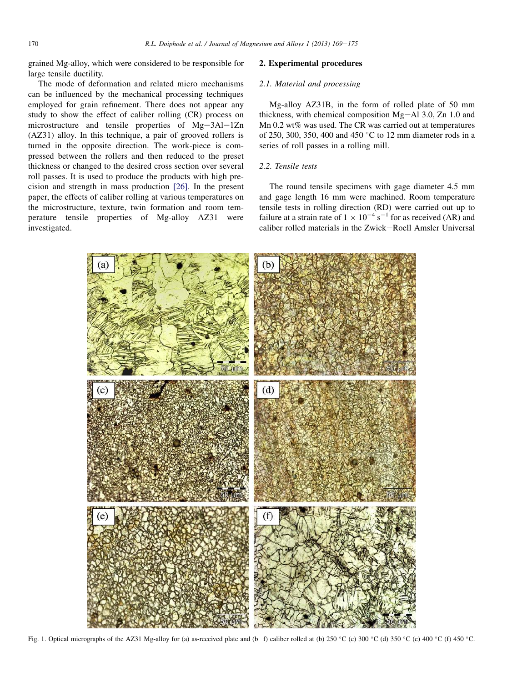grained Mg-alloy, which were considered to be responsible for large tensile ductility.

The mode of deformation and related micro mechanisms can be influenced by the mechanical processing techniques employed for grain refinement. There does not appear any study to show the effect of caliber rolling (CR) process on microstructure and tensile properties of  $Mg-3Al-1Zn$ (AZ31) alloy. In this technique, a pair of grooved rollers is turned in the opposite direction. The work-piece is compressed between the rollers and then reduced to the preset thickness or changed to the desired cross section over several roll passes. It is used to produce the products with high precision and strength in mass production [26]. In the present paper, the effects of caliber rolling at various temperatures on the microstructure, texture, twin formation and room temperature tensile properties of Mg-alloy AZ31 were investigated.

# 2. Experimental procedures

# *2.1. Material and processing*

Mg-alloy AZ31B, in the form of rolled plate of 50 mm thickness, with chemical composition  $Mg-Al$  3.0, Zn 1.0 and Mn 0.2 wt% was used. The CR was carried out at temperatures of 250, 300, 350, 400 and 450 °C to 12 mm diameter rods in a series of roll passes in a rolling mill.

## *2.2. Tensile tests*

The round tensile specimens with gage diameter 4.5 mm and gage length 16 mm were machined. Room temperature tensile tests in rolling direction (RD) were carried out up to failure at a strain rate of  $1 \times 10^{-4}$  s<sup>-1</sup> for as received (AR) and caliber rolled materials in the Zwick-Roell Amsler Universal



Fig. 1. Optical micrographs of the AZ31 Mg-alloy for (a) as-received plate and (b-f) caliber rolled at (b) 250 °C (c) 300 °C (d) 350 °C (e) 400 °C (f) 450 °C.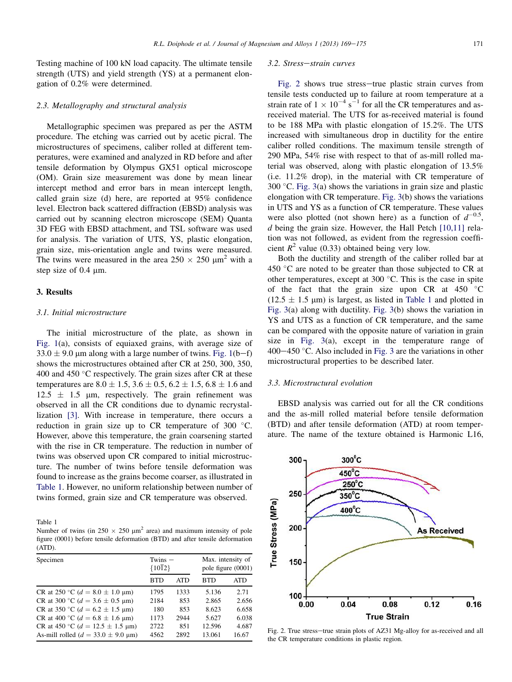Testing machine of 100 kN load capacity. The ultimate tensile strength (UTS) and yield strength (YS) at a permanent elongation of 0.2% were determined.

## *2.3. Metallography and structural analysis*

Metallographic specimen was prepared as per the ASTM procedure. The etching was carried out by acetic picral. The microstructures of specimens, caliber rolled at different temperatures, were examined and analyzed in RD before and after tensile deformation by Olympus GX51 optical microscope (OM). Grain size measurement was done by mean linear intercept method and error bars in mean intercept length, called grain size (d) here, are reported at 95% confidence level. Electron back scattered diffraction (EBSD) analysis was carried out by scanning electron microscope (SEM) Quanta 3D FEG with EBSD attachment, and TSL software was used for analysis. The variation of UTS, YS, plastic elongation, grain size, mis-orientation angle and twins were measured. The twins were measured in the area  $250 \times 250 \mu m^2$  with a step size of  $0.4 \mu m$ .

# 3. Results

# *3.1. Initial microstructure*

The initial microstructure of the plate, as shown in Fig. 1(a), consists of equiaxed grains, with average size of  $33.0 \pm 9.0$  µm along with a large number of twins. Fig. 1(b-f) shows the microstructures obtained after CR at 250, 300, 350, 400 and 450  $\degree$ C respectively. The grain sizes after CR at these temperatures are  $8.0 \pm 1.5$ ,  $3.6 \pm 0.5$ ,  $6.2 \pm 1.5$ ,  $6.8 \pm 1.6$  and  $12.5 \pm 1.5$  µm, respectively. The grain refinement was observed in all the CR conditions due to dynamic recrystallization [3]. With increase in temperature, there occurs a reduction in grain size up to CR temperature of  $300^{\circ}$ C. However, above this temperature, the grain coarsening started with the rise in CR temperature. The reduction in number of twins was observed upon CR compared to initial microstructure. The number of twins before tensile deformation was found to increase as the grains become coarser, as illustrated in Table 1. However, no uniform relationship between number of twins formed, grain size and CR temperature was observed.

Table 1

Number of twins (in  $250 \times 250 \mu m^2$  area) and maximum intensity of pole figure (0001) before tensile deformation (BTD) and after tensile deformation (ATD).

| Specimen                                                  | $Twins -$<br>${1012}$ |            | Max. intensity of<br>pole figure (0001) |       |
|-----------------------------------------------------------|-----------------------|------------|-----------------------------------------|-------|
|                                                           | <b>BTD</b>            | <b>ATD</b> | RTD                                     | ATD   |
| CR at 250 °C ( $d = 8.0 \pm 1.0 \text{ }\mu\text{m}$ )    | 1795                  | 1333       | 5.136                                   | 2.71  |
| CR at 300 °C ( $d = 3.6 \pm 0.5$ µm)                      | 2184                  | 853        | 2.865                                   | 2.656 |
| CR at 350 °C ( $d = 6.2 \pm 1.5$ µm)                      | 180                   | 853        | 8.623                                   | 6.658 |
| CR at 400 °C ( $d = 6.8 \pm 1.6$ µm)                      | 1173                  | 2944       | 5.627                                   | 6.038 |
| CR at 450 °C ( $d = 12.5 \pm 1.5$ µm)                     | 2722                  | 851        | 12.596                                  | 4.687 |
| As-mill rolled ( $d = 33.0 \pm 9.0 \text{ }\mu\text{m}$ ) | 4562                  | 2892       | 13.061                                  | 16.67 |

#### 3.2. Stress-strain curves

Fig. 2 shows true stress-true plastic strain curves from tensile tests conducted up to failure at room temperature at a strain rate of  $1 \times 10^{-4}$  s<sup>-1</sup> for all the CR temperatures and asreceived material. The UTS for as-received material is found to be 188 MPa with plastic elongation of 15.2%. The UTS increased with simultaneous drop in ductility for the entire caliber rolled conditions. The maximum tensile strength of 290 MPa, 54% rise with respect to that of as-mill rolled material was observed, along with plastic elongation of 13.5% (i.e. 11.2% drop), in the material with CR temperature of  $300 \degree$ C. Fig. 3(a) shows the variations in grain size and plastic elongation with CR temperature. Fig. 3(b) shows the variations in UTS and YS as a function of CR temperature. These values were also plotted (not shown here) as a function of  $d^{-0.5}$ , *d* being the grain size. However, the Hall Petch [10,11] relation was not followed, as evident from the regression coefficient  $R^2$  value (0.33) obtained being very low.

Both the ductility and strength of the caliber rolled bar at 450  $\degree$ C are noted to be greater than those subjected to CR at other temperatures, except at 300  $^{\circ}$ C. This is the case in spite of the fact that the grain size upon CR at  $450^{\circ}$ C  $(12.5 \pm 1.5 \mu m)$  is largest, as listed in Table 1 and plotted in Fig. 3(a) along with ductility. Fig. 3(b) shows the variation in YS and UTS as a function of CR temperature, and the same can be compared with the opposite nature of variation in grain size in Fig. 3(a), except in the temperature range of  $400-450$  °C. Also included in Fig. 3 are the variations in other microstructural properties to be described later.

### *3.3. Microstructural evolution*

EBSD analysis was carried out for all the CR conditions and the as-mill rolled material before tensile deformation (BTD) and after tensile deformation (ATD) at room temperature. The name of the texture obtained is Harmonic L16,



Fig. 2. True stress-true strain plots of AZ31 Mg-alloy for as-received and all the CR temperature conditions in plastic region.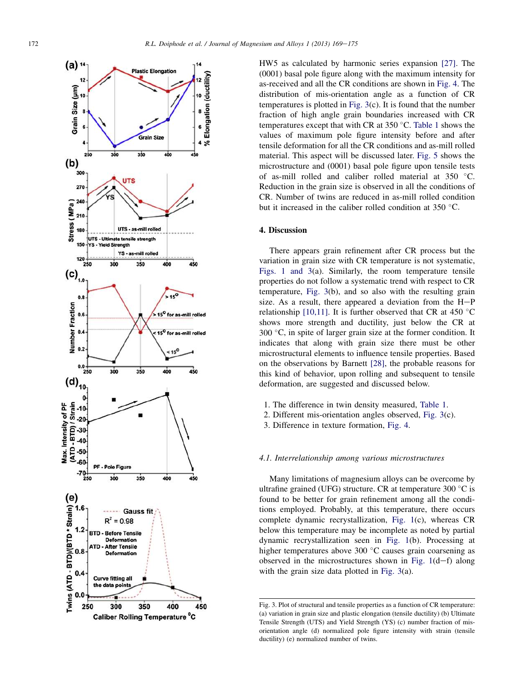

HW5 as calculated by harmonic series expansion [27]. The (0001) basal pole figure along with the maximum intensity for as-received and all the CR conditions are shown in Fig. 4. The distribution of mis-orientation angle as a function of CR temperatures is plotted in Fig. 3(c). It is found that the number fraction of high angle grain boundaries increased with CR temperatures except that with CR at  $350^{\circ}$ C. Table 1 shows the values of maximum pole figure intensity before and after tensile deformation for all the CR conditions and as-mill rolled material. This aspect will be discussed later. Fig. 5 shows the microstructure and (0001) basal pole figure upon tensile tests of as-mill rolled and caliber rolled material at 350 C. Reduction in the grain size is observed in all the conditions of CR. Number of twins are reduced in as-mill rolled condition but it increased in the caliber rolled condition at  $350^{\circ}$ C.

# 4. Discussion

There appears grain refinement after CR process but the variation in grain size with CR temperature is not systematic, Figs. 1 and 3(a). Similarly, the room temperature tensile properties do not follow a systematic trend with respect to CR temperature, Fig. 3(b), and so also with the resulting grain size. As a result, there appeared a deviation from the  $H-P$ relationship [10,11]. It is further observed that CR at 450  $^{\circ}$ C shows more strength and ductility, just below the CR at  $300 \degree C$ , in spite of larger grain size at the former condition. It indicates that along with grain size there must be other microstructural elements to influence tensile properties. Based on the observations by Barnett [28], the probable reasons for this kind of behavior, upon rolling and subsequent to tensile deformation, are suggested and discussed below.

- 1. The difference in twin density measured, Table 1.
- 2. Different mis-orientation angles observed, Fig. 3(c).
- 3. Difference in texture formation, Fig. 4.

## *4.1. Interrelationship among various microstructures*

Many limitations of magnesium alloys can be overcome by ultrafine grained (UFG) structure. CR at temperature  $300\degree C$  is found to be better for grain refinement among all the conditions employed. Probably, at this temperature, there occurs complete dynamic recrystallization, Fig. 1(c), whereas CR below this temperature may be incomplete as noted by partial dynamic recrystallization seen in Fig. 1(b). Processing at higher temperatures above  $300\text{ °C}$  causes grain coarsening as observed in the microstructures shown in Fig.  $1(d-f)$  along with the grain size data plotted in Fig. 3(a).

Fig. 3. Plot of structural and tensile properties as a function of CR temperature: (a) variation in grain size and plastic elongation (tensile ductility) (b) Ultimate Tensile Strength (UTS) and Yield Strength (YS) (c) number fraction of misorientation angle (d) normalized pole figure intensity with strain (tensile ductility) (e) normalized number of twins.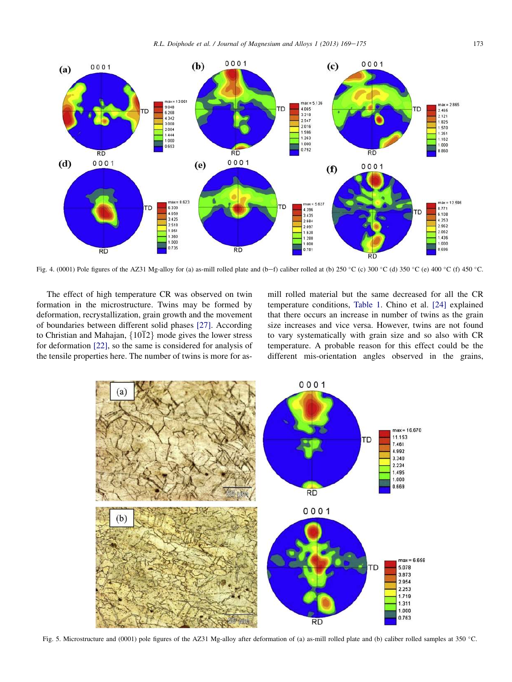

Fig. 4. (0001) Pole figures of the AZ31 Mg-alloy for (a) as-mill rolled plate and (b-f) caliber rolled at (b) 250 °C (c) 300 °C (d) 350 °C (e) 400 °C (f) 450 °C.

The effect of high temperature CR was observed on twin formation in the microstructure. Twins may be formed by deformation, recrystallization, grain growth and the movement of boundaries between different solid phases [27]. According to Christian and Mahajan,  $\{10\overline{1}2\}$  mode gives the lower stress for deformation [22], so the same is considered for analysis of the tensile properties here. The number of twins is more for asmill rolled material but the same decreased for all the CR temperature conditions, Table 1. Chino et al. [24] explained that there occurs an increase in number of twins as the grain size increases and vice versa. However, twins are not found to vary systematically with grain size and so also with CR temperature. A probable reason for this effect could be the different mis-orientation angles observed in the grains,



Fig. 5. Microstructure and (0001) pole figures of the AZ31 Mg-alloy after deformation of (a) as-mill rolled plate and (b) caliber rolled samples at 350 °C.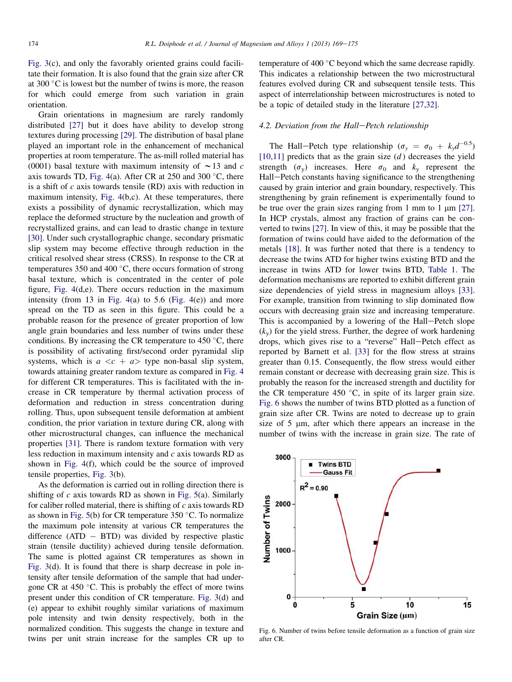Fig. 3(c), and only the favorably oriented grains could facilitate their formation. It is also found that the grain size after CR at 300  $\degree$ C is lowest but the number of twins is more, the reason for which could emerge from such variation in grain orientation.

Grain orientations in magnesium are rarely randomly distributed [27] but it does have ability to develop strong textures during processing [29]. The distribution of basal plane played an important role in the enhancement of mechanical properties at room temperature. The as-mill rolled material has (0001) basal texture with maximum intensity of  $\sim$  13 and *c* axis towards TD, Fig. 4(a). After CR at 250 and 300  $\degree$ C, there is a shift of *c* axis towards tensile (RD) axis with reduction in maximum intensity, Fig. 4(b,c). At these temperatures, there exists a possibility of dynamic recrystallization, which may replace the deformed structure by the nucleation and growth of recrystallized grains, and can lead to drastic change in texture [30]. Under such crystallographic change, secondary prismatic slip system may become effective through reduction in the critical resolved shear stress (CRSS). In response to the CR at temperatures 350 and 400 $\degree$ C, there occurs formation of strong basal texture, which is concentrated in the center of pole figure, Fig. 4(d,e). There occurs reduction in the maximum intensity (from 13 in Fig. 4(a) to 5.6 (Fig. 4(e)) and more spread on the TD as seen in this figure. This could be a probable reason for the presence of greater proportion of low angle grain boundaries and less number of twins under these conditions. By increasing the CR temperature to  $450^{\circ}$ C, there is possibility of activating first/second order pyramidal slip systems, which is  $a \ll c + a$  type non-basal slip system, towards attaining greater random texture as compared in Fig. 4 for different CR temperatures. This is facilitated with the increase in CR temperature by thermal activation process of deformation and reduction in stress concentration during rolling. Thus, upon subsequent tensile deformation at ambient condition, the prior variation in texture during CR, along with other microstructural changes, can influence the mechanical properties [31]. There is random texture formation with very less reduction in maximum intensity and *c* axis towards RD as shown in Fig. 4(f), which could be the source of improved tensile properties, Fig. 3(b).

As the deformation is carried out in rolling direction there is shifting of *c* axis towards RD as shown in Fig. 5(a). Similarly for caliber rolled material, there is shifting of *c* axis towards RD as shown in Fig. 5(b) for CR temperature  $350^{\circ}$ C. To normalize the maximum pole intensity at various CR temperatures the difference  $(ATD - BTD)$  was divided by respective plastic strain (tensile ductility) achieved during tensile deformation. The same is plotted against CR temperatures as shown in Fig. 3(d). It is found that there is sharp decrease in pole intensity after tensile deformation of the sample that had undergone CR at 450  $^{\circ}$ C. This is probably the effect of more twins present under this condition of CR temperature. Fig. 3(d) and (e) appear to exhibit roughly similar variations of maximum pole intensity and twin density respectively, both in the normalized condition. This suggests the change in texture and twins per unit strain increase for the samples CR up to

temperature of 400 $\degree$ C beyond which the same decrease rapidly. This indicates a relationship between the two microstructural features evolved during CR and subsequent tensile tests. This aspect of interrelationship between microstructures is noted to be a topic of detailed study in the literature [27,32].

## 4.2. Deviation from the Hall–Petch relationship

The Hall–Petch type relationship ( $\sigma_y = \sigma_0 + k_y d^{-0.5}$ )  $[10,11]$  predicts that as the grain size  $(d)$  decreases the yield strength ( $\sigma_v$ ) increases. Here  $\sigma_0$  and  $k_v$  represent the Hall–Petch constants having significance to the strengthening caused by grain interior and grain boundary, respectively. This strengthening by grain refinement is experimentally found to be true over the grain sizes ranging from 1 mm to 1  $\mu$ m [27]. In HCP crystals, almost any fraction of grains can be converted to twins [27]. In view of this, it may be possible that the formation of twins could have aided to the deformation of the metals [18]. It was further noted that there is a tendency to decrease the twins ATD for higher twins existing BTD and the increase in twins ATD for lower twins BTD, Table 1. The deformation mechanisms are reported to exhibit different grain size dependencies of yield stress in magnesium alloys [33]. For example, transition from twinning to slip dominated flow occurs with decreasing grain size and increasing temperature. This is accompanied by a lowering of the Hall-Petch slope  $(k_v)$  for the yield stress. Further, the degree of work hardening drops, which gives rise to a "reverse" Hall-Petch effect as reported by Barnett et al. [33] for the flow stress at strains greater than 0.15. Consequently, the flow stress would either remain constant or decrease with decreasing grain size. This is probably the reason for the increased strength and ductility for the CR temperature 450  $^{\circ}$ C, in spite of its larger grain size. Fig. 6 shows the number of twins BTD plotted as a function of grain size after CR. Twins are noted to decrease up to grain size of  $5 \mu m$ , after which there appears an increase in the number of twins with the increase in grain size. The rate of



Fig. 6. Number of twins before tensile deformation as a function of grain size after CR.